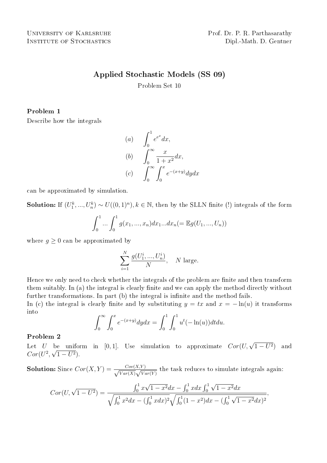# Applied Stochastic Models (SS 09)

Problem Set 10

## Problem 1

Describe how the integrals

(a) 
$$
\int_0^1 e^{e^x} dx,
$$
  
\n(b) 
$$
\int_0^\infty \frac{x}{1+x^2} dx,
$$
  
\n(c) 
$$
\int_0^\infty \int_0^x e^{-(x+y)} dy dx
$$

can be approximated by simulation.

**Solution:** If  $(U_1^k, ..., U_n^k) \sim U((0,1)^n), k \in \mathbb{N}$ , then by the SLLN finite (!) integrals of the form

$$
\int_0^1 \dots \int_0^1 g(x_1, \dots, x_n) dx_1 \dots dx_n (= \mathbb{E}g(U_1, \dots, U_n))
$$

where  $g \geq 0$  can be approximated by

$$
\sum_{i=1}^N \frac{g(U_1^i, ..., U_n^i)}{N}, \quad N \text{ large.}
$$

Hence we only need to check whether the integrals of the problem are finite and then transform them suitably. In (a) the integral is clearly finite and we can apply the method directly without further transformations. In part (b) the integral is infinite and the method fails.

In (c) the integral is clearly finite and by substituting  $y = tx$  and  $x = -\ln(u)$  it transforms into  $\overline{r}$  $\int f(x)$  $\overline{r}$ 1  $\overline{r}$ 1

$$
\int_0^{\infty} \int_0^x e^{-(x+y)} dy dx = \int_0^1 \int_0^1 u^{t} (-\ln(u)) dt du.
$$

### Problem 2

Let U be uniform in [0,1]. Use simulation to approximate  $Cor(U, \sqrt{1-U^2})$ ) and  $Cor(U^2, \sqrt{1-U^2}).$ 

**Solution:** Since  $Cor(X, Y) = \frac{Cov(X, Y)}{\sqrt{Var(Y)} \sqrt{V(X)}}$  $\frac{Cov(X,Y)}{Var(X)}\sqrt{Var(Y)}$  the task reduces to simulate integrals again:

$$
Cor(U, \sqrt{1 - U^2}) = \frac{\int_0^1 x\sqrt{1 - x^2} dx - \int_0^1 x dx \int_0^1 \sqrt{1 - x^2} dx}{\sqrt{\int_0^1 x^2 dx - (\int_0^1 x dx)^2} \sqrt{\int_0^1 (1 - x^2) dx - (\int_0^1 \sqrt{1 - x^2} dx)^2}},
$$